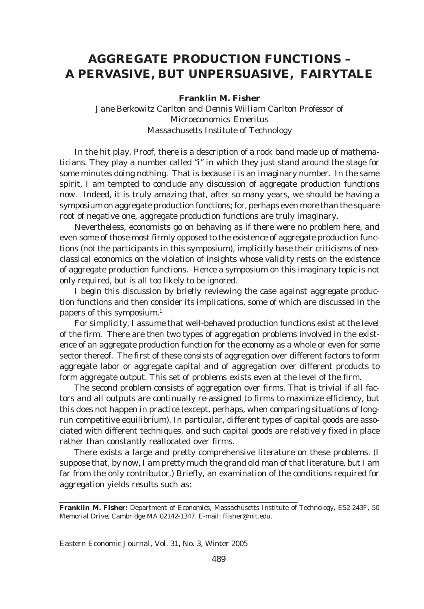## **AGGREGATE PRODUCTION FUNCTIONS – A PERVASIVE, BUT UNPERSUASIVE, FAIRYTALE**

## **Franklin M. Fisher**

*Jane Berkowitz Carlton and Dennis William Carlton Professor of Microeconomics Emeritus Massachusetts Institute of Technology*

In the hit play, *Proof*, there is a description of a rock band made up of mathematicians. They play a number called "*i*" in which they just stand around the stage for some minutes doing nothing. That is because *i* is an imaginary number. In the same spirit, I am tempted to conclude any discussion of aggregate production functions now. Indeed, it is truly amazing that, after so many years, we should be having a symposium on aggregate production functions; for, perhaps even more than the square root of negative one, aggregate production functions are truly imaginary.

Nevertheless, economists go on behaving as if there were no problem here, and even some of those most firmly opposed to the existence of aggregate production functions (not the participants in this symposium), implicitly base their criticisms of neoclassical economics on the violation of insights whose validity rests on the existence of aggregate production functions. Hence a symposium on this imaginary topic is not only required, but is all too likely to be ignored.

I begin this discussion by briefly reviewing the case against aggregate production functions and then consider its implications, some of which are discussed in the papers of this symposium.<sup>1</sup>

For simplicity, I assume that well-behaved production functions exist at the level of the firm. There are then two types of aggregation problems involved in the existence of an aggregate production function for the economy as a whole or even for some sector thereof. The first of these consists of aggregation over different factors to form aggregate labor or aggregate capital and of aggregation over different products to form aggregate output. This set of problems exists even at the level of the firm.

The second problem consists of aggregation over firms. That is trivial if all factors and all outputs are continually re-assigned to firms to maximize efficiency, but this does not happen in practice (except, perhaps, when comparing situations of longrun competitive equilibrium). In particular, different types of capital goods are associated with different techniques, and such capital goods are relatively fixed in place rather than constantly reallocated over firms.

There exists a large and pretty comprehensive literature on these problems. (I suppose that, by now, I am pretty much the grand old man of that literature, but I am far from the only contributor.) Briefly, an examination of the conditions required for aggregation yields results such as:

**Franklin M. Fisher:** Department of Economics, Massachusetts Institute of Technology, E52-243F, 50 Memorial Drive, Cambridge MA 02142-1347. E-mail: ffisher@mit.edu.

*Eastern Economic Journal,* Vol. 31, No. 3, Winter 2005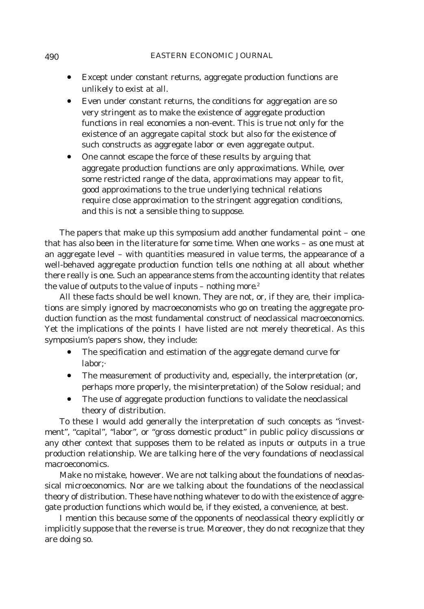- Except under constant returns, aggregate production functions are unlikely to exist at all.
- Even under constant returns, the conditions for aggregation are so very stringent as to make the existence of aggregate production functions in real economies a non-event. This is true not only for the existence of an aggregate capital stock but also for the existence of such constructs as aggregate labor or even aggregate output.
- One cannot escape the force of these results by arguing that aggregate production functions are only approximations. While, over some restricted range of the data, approximations may appear to fit, good approximations to the true underlying technical relations require close approximation to the stringent aggregation conditions, and this is not a sensible thing to suppose.

The papers that make up this symposium add another fundamental point – one that has also been in the literature for some time. When one works – as one must at an aggregate level – with quantities measured in value terms, the appearance of a well-behaved aggregate production function tells one nothing at all about whether there really is one. Such an appearance stems from the accounting identity that relates the value of outputs to the value of inputs – *nothing more*. 2

All these facts should be well known. They are not, or, if they are, their implications are simply ignored by macroeconomists who go on treating the aggregate production function as the most fundamental construct of neoclassical macroeconomics. Yet the implications of the points I have listed are not merely theoretical. As this symposium's papers show, they include:

- The specification and estimation of the aggregate demand curve for labor;·
- The measurement of productivity and, especially, the interpretation (or, perhaps more properly, the *mis*interpretation) of the Solow residual; and
- The use of aggregate production functions to validate the neoclassical theory of distribution.

To these I would add generally the interpretation of such concepts as "investment", "capital", "labor", or "gross domestic product" in public policy discussions or any other context that supposes them to be related as inputs or outputs in a true production relationship. We are talking here of the very foundations of neoclassical macroeconomics.

Make no mistake, however. We are *not* talking about the foundations of neoclassical *micro*economics. Nor are we talking about the foundations of the neoclassical theory of distribution. These have nothing whatever to do with the existence of aggregate production functions which would be, if they existed, a convenience, at best.

I mention this because some of the opponents of neoclassical theory explicitly or implicitly suppose that the reverse is true. Moreover, they do not recognize that they are doing so.